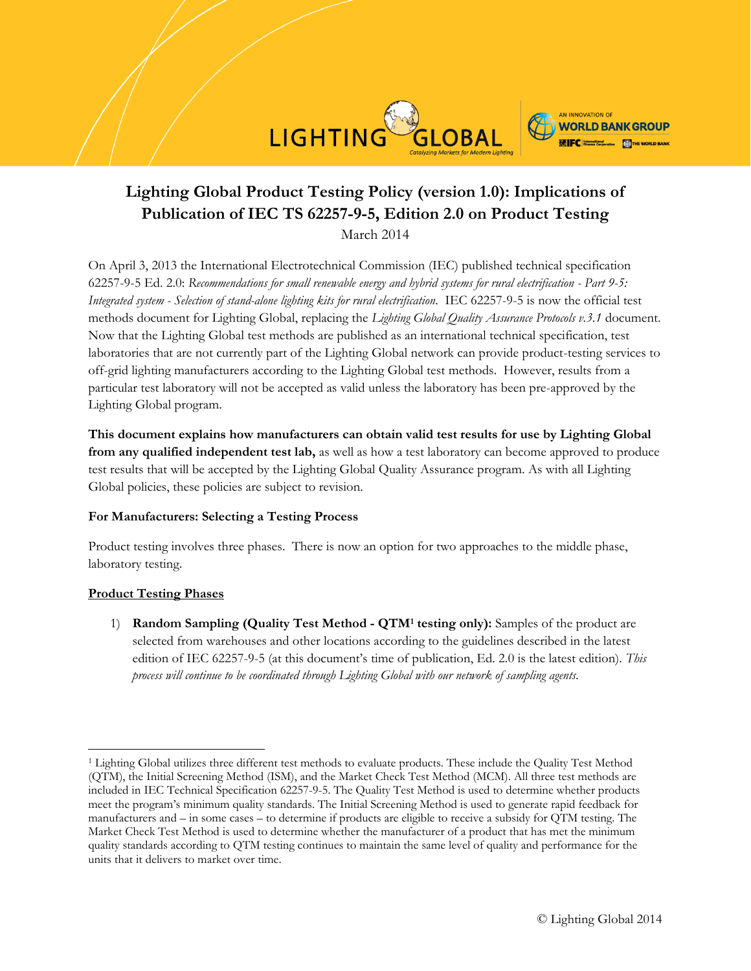



# **Lighting Global Product Testing Policy (version 1.0): Implications of Publication of IEC TS 62257-9-5, Edition 2.0 on Product Testing**

March 2014

On April 3, 2013 the International Electrotechnical Commission (IEC) published technical specification 62257-9-5 Ed. 2.0: *Recommendations for small renewable energy and hybrid systems for rural electrification - Part 9-5: Integrated system - Selection of stand-alone lighting kits for rural electrification*. IEC 62257-9-5 is now the official test methods document for Lighting Global, replacing the *Lighting Global Quality Assurance Protocols v.3.1* document. Now that the Lighting Global test methods are published as an international technical specification, test laboratories that are not currently part of the Lighting Global network can provide product-testing services to off-grid lighting manufacturers according to the Lighting Global test methods. However, results from a particular test laboratory will not be accepted as valid unless the laboratory has been pre-approved by the Lighting Global program.

**This document explains how manufacturers can obtain valid test results for use by Lighting Global from any qualified independent test lab,** as well as how a test laboratory can become approved to produce test results that will be accepted by the Lighting Global Quality Assurance program. As with all Lighting Global policies, these policies are subject to revision.

# **For Manufacturers: Selecting a Testing Process**

Product testing involves three phases. There is now an option for two approaches to the middle phase, laboratory testing.

# **Product Testing Phases**

 $\overline{\phantom{a}}$ 

1) **Random Sampling (Quality Test Method - QTM<sup>1</sup> testing only):** Samples of the product are selected from warehouses and other locations according to the guidelines described in the latest edition of IEC 62257-9-5 (at this document's time of publication, Ed. 2.0 is the latest edition). *This process will continue to be coordinated through Lighting Global with our network of sampling agents.* 

<sup>1</sup> Lighting Global utilizes three different test methods to evaluate products. These include the Quality Test Method (QTM), the Initial Screening Method (ISM), and the Market Check Test Method (MCM). All three test methods are included in IEC Technical Specification 62257-9-5. The Quality Test Method is used to determine whether products meet the program's minimum quality standards. The Initial Screening Method is used to generate rapid feedback for manufacturers and – in some cases – to determine if products are eligible to receive a subsidy for QTM testing. The Market Check Test Method is used to determine whether the manufacturer of a product that has met the minimum quality standards according to QTM testing continues to maintain the same level of quality and performance for the units that it delivers to market over time.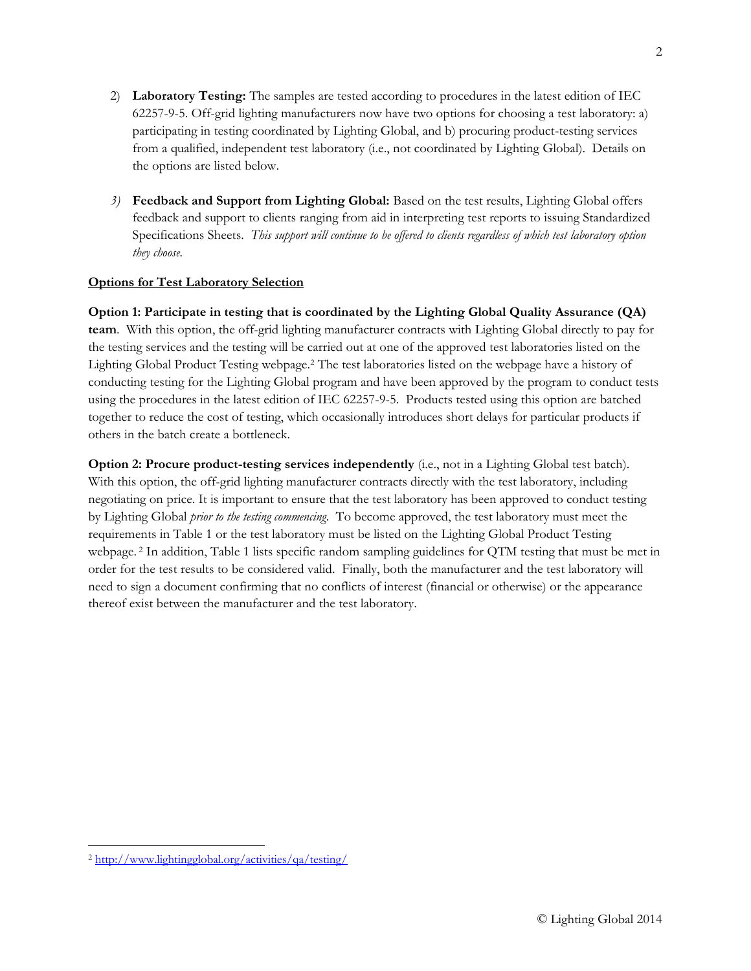- 2) **Laboratory Testing:** The samples are tested according to procedures in the latest edition of IEC 62257-9-5. Off-grid lighting manufacturers now have two options for choosing a test laboratory: a) participating in testing coordinated by Lighting Global, and b) procuring product-testing services from a qualified, independent test laboratory (i.e., not coordinated by Lighting Global). Details on the options are listed below.
- *3)* **Feedback and Support from Lighting Global:** Based on the test results, Lighting Global offers feedback and support to clients ranging from aid in interpreting test reports to issuing Standardized Specifications Sheets. *This support will continue to be offered to clients regardless of which test laboratory option they choose.*

# **Options for Test Laboratory Selection**

**Option 1: Participate in testing that is coordinated by the Lighting Global Quality Assurance (QA) team**. With this option, the off-grid lighting manufacturer contracts with Lighting Global directly to pay for the testing services and the testing will be carried out at one of the approved test laboratories listed on the Lighting Global Product Testing webpage.<sup>2</sup> The test laboratories listed on the webpage have a history of conducting testing for the Lighting Global program and have been approved by the program to conduct tests using the procedures in the latest edition of IEC 62257-9-5. Products tested using this option are batched together to reduce the cost of testing, which occasionally introduces short delays for particular products if others in the batch create a bottleneck.

**Option 2: Procure product-testing services independently** (i.e., not in a Lighting Global test batch). With this option, the off-grid lighting manufacturer contracts directly with the test laboratory, including negotiating on price. It is important to ensure that the test laboratory has been approved to conduct testing by Lighting Global *prior to the testing commencing*. To become approved, the test laboratory must meet the requirements in Table 1 or the test laboratory must be listed on the Lighting Global Product Testing webpage. <sup>2</sup> In addition, Table 1 lists specific random sampling guidelines for QTM testing that must be met in order for the test results to be considered valid. Finally, both the manufacturer and the test laboratory will need to sign a document confirming that no conflicts of interest (financial or otherwise) or the appearance thereof exist between the manufacturer and the test laboratory.

 $\overline{\phantom{a}}$ <sup>2</sup> <http://www.lightingglobal.org/activities/qa/testing/>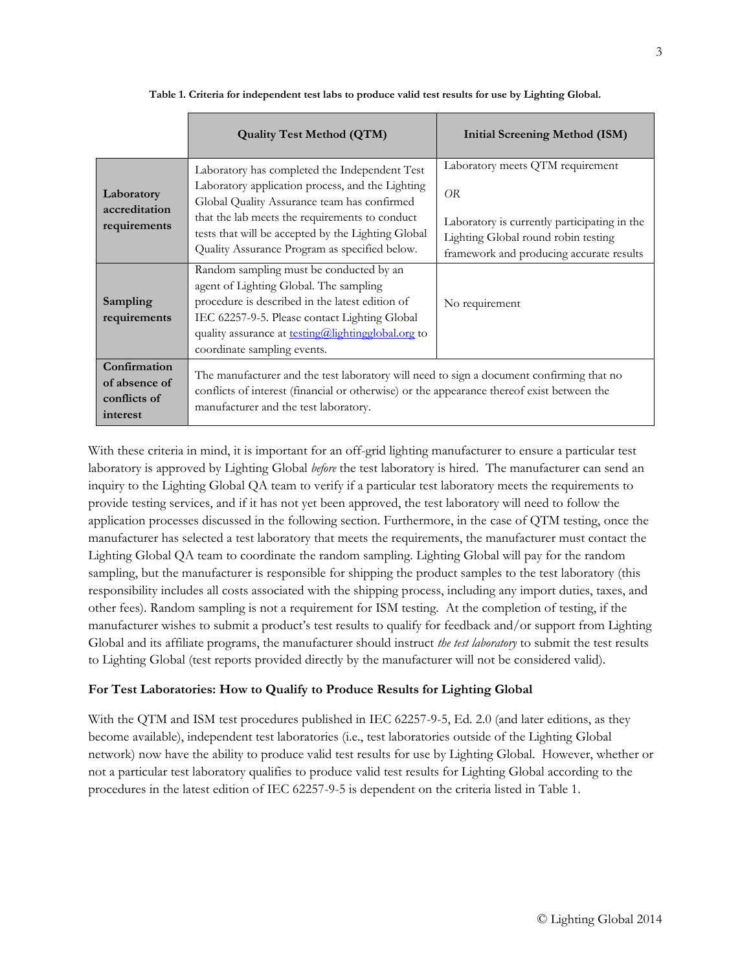|                                                           | <b>Quality Test Method (QTM)</b>                                                                                                                                                                                                                                                  | <b>Initial Screening Method (ISM)</b>                                                                                           |
|-----------------------------------------------------------|-----------------------------------------------------------------------------------------------------------------------------------------------------------------------------------------------------------------------------------------------------------------------------------|---------------------------------------------------------------------------------------------------------------------------------|
| Laboratory<br>accreditation<br>requirements               | Laboratory has completed the Independent Test<br>Laboratory application process, and the Lighting<br>Global Quality Assurance team has confirmed                                                                                                                                  | Laboratory meets QTM requirement<br>OR.                                                                                         |
|                                                           | that the lab meets the requirements to conduct<br>tests that will be accepted by the Lighting Global<br>Quality Assurance Program as specified below.                                                                                                                             | Laboratory is currently participating in the<br>Lighting Global round robin testing<br>framework and producing accurate results |
| Sampling<br>requirements                                  | Random sampling must be conducted by an<br>agent of Lighting Global. The sampling<br>procedure is described in the latest edition of<br>IEC 62257-9-5. Please contact Lighting Global<br>quality assurance at <b>testing@lightingglobal.org</b> to<br>coordinate sampling events. | No requirement                                                                                                                  |
| Confirmation<br>of absence of<br>conflicts of<br>interest | The manufacturer and the test laboratory will need to sign a document confirming that no<br>conflicts of interest (financial or otherwise) or the appearance thereof exist between the<br>manufacturer and the test laboratory.                                                   |                                                                                                                                 |

#### **Table 1. Criteria for independent test labs to produce valid test results for use by Lighting Global.**

With these criteria in mind, it is important for an off-grid lighting manufacturer to ensure a particular test laboratory is approved by Lighting Global *before* the test laboratory is hired. The manufacturer can send an inquiry to the Lighting Global QA team to verify if a particular test laboratory meets the requirements to provide testing services, and if it has not yet been approved, the test laboratory will need to follow the application processes discussed in the following section. Furthermore, in the case of QTM testing, once the manufacturer has selected a test laboratory that meets the requirements, the manufacturer must contact the Lighting Global QA team to coordinate the random sampling. Lighting Global will pay for the random sampling, but the manufacturer is responsible for shipping the product samples to the test laboratory (this responsibility includes all costs associated with the shipping process, including any import duties, taxes, and other fees). Random sampling is not a requirement for ISM testing. At the completion of testing, if the manufacturer wishes to submit a product's test results to qualify for feedback and/or support from Lighting Global and its affiliate programs, the manufacturer should instruct *the test laboratory* to submit the test results to Lighting Global (test reports provided directly by the manufacturer will not be considered valid).

### **For Test Laboratories: How to Qualify to Produce Results for Lighting Global**

With the QTM and ISM test procedures published in IEC 62257-9-5, Ed. 2.0 (and later editions, as they become available), independent test laboratories (i.e., test laboratories outside of the Lighting Global network) now have the ability to produce valid test results for use by Lighting Global. However, whether or not a particular test laboratory qualifies to produce valid test results for Lighting Global according to the procedures in the latest edition of IEC 62257-9-5 is dependent on the criteria listed in Table 1.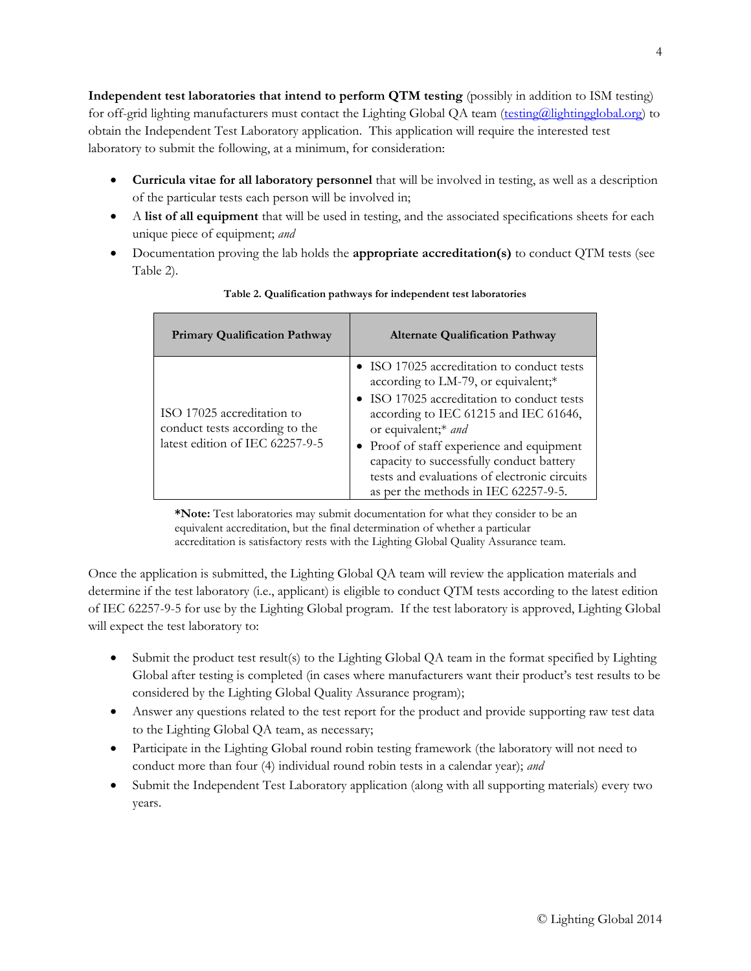**Independent test laboratories that intend to perform QTM testing** (possibly in addition to ISM testing) for off-grid lighting manufacturers must contact the Lighting Global QA team [\(testing@lightingglobal.org\)](mailto:testing@lightingglobal.org) to obtain the Independent Test Laboratory application. This application will require the interested test laboratory to submit the following, at a minimum, for consideration:

- **Curricula vitae for all laboratory personnel** that will be involved in testing, as well as a description of the particular tests each person will be involved in;
- A **list of all equipment** that will be used in testing, and the associated specifications sheets for each unique piece of equipment; *and*
- Documentation proving the lab holds the **appropriate accreditation(s)** to conduct QTM tests (see Table 2).

| <b>Primary Qualification Pathway</b>                                                            | <b>Alternate Qualification Pathway</b>                                                                                                                                                                                                                                                                                                                                           |
|-------------------------------------------------------------------------------------------------|----------------------------------------------------------------------------------------------------------------------------------------------------------------------------------------------------------------------------------------------------------------------------------------------------------------------------------------------------------------------------------|
| ISO 17025 accreditation to<br>conduct tests according to the<br>latest edition of IEC 62257-9-5 | • ISO 17025 accreditation to conduct tests<br>according to LM-79, or equivalent;*<br>• ISO 17025 accreditation to conduct tests<br>according to IEC 61215 and IEC 61646,<br>or equivalent;* and<br>• Proof of staff experience and equipment<br>capacity to successfully conduct battery<br>tests and evaluations of electronic circuits<br>as per the methods in IEC 62257-9-5. |

### **Table 2. Qualification pathways for independent test laboratories**

**\*Note:** Test laboratories may submit documentation for what they consider to be an equivalent accreditation, but the final determination of whether a particular accreditation is satisfactory rests with the Lighting Global Quality Assurance team.

Once the application is submitted, the Lighting Global QA team will review the application materials and determine if the test laboratory (i.e., applicant) is eligible to conduct QTM tests according to the latest edition of IEC 62257-9-5 for use by the Lighting Global program. If the test laboratory is approved, Lighting Global will expect the test laboratory to:

- Submit the product test result(s) to the Lighting Global QA team in the format specified by Lighting Global after testing is completed (in cases where manufacturers want their product's test results to be considered by the Lighting Global Quality Assurance program);
- Answer any questions related to the test report for the product and provide supporting raw test data to the Lighting Global QA team, as necessary;
- Participate in the Lighting Global round robin testing framework (the laboratory will not need to conduct more than four (4) individual round robin tests in a calendar year); *and*
- Submit the Independent Test Laboratory application (along with all supporting materials) every two years.